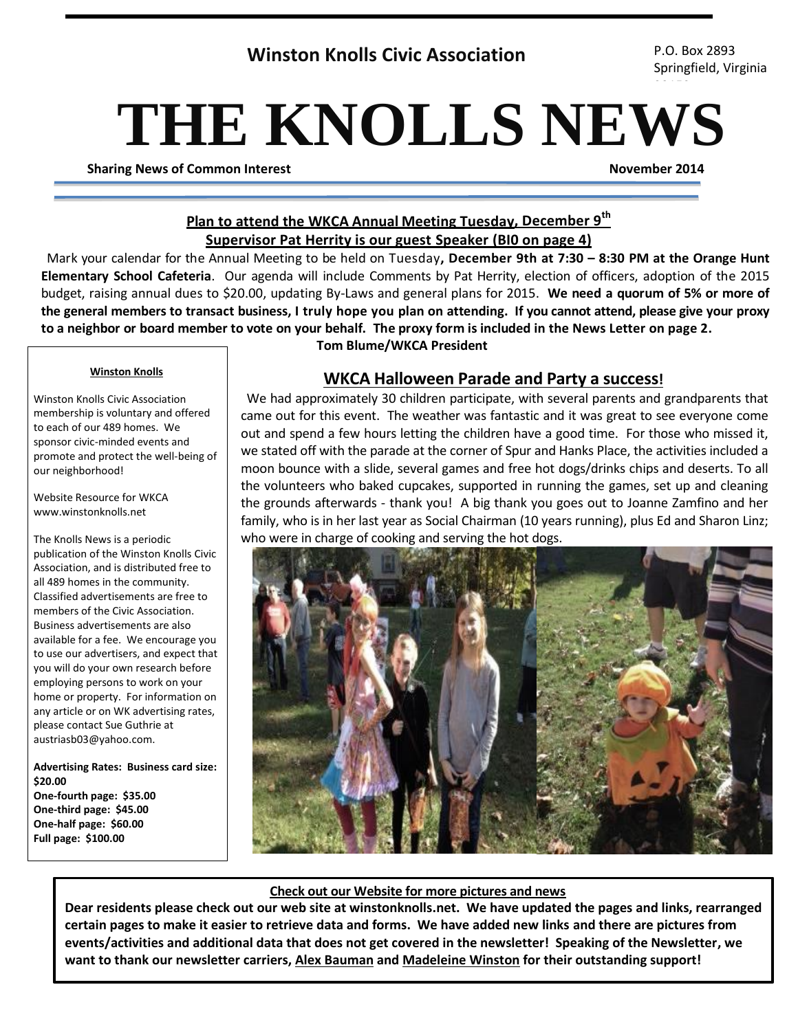## **Winston Knolls Civic Association** P.O. Box 2893

Springfield, Virginia

# **THE KNOLLS NEWS**

**Sharing News of Common Interest November 2014**

22152

## **Plan to attend the WKCA Annual Meeting Tuesday, December 9th Supervisor Pat Herrity is our guest Speaker (BI0 on page 4)**

Mark your calendar for the Annual Meeting to be held on Tuesday**, December 9th at 7:30 – 8:30 PM at the Orange Hunt Elementary School Cafeteria**. Our agenda will include Comments by Pat Herrity, election of officers, adoption of the 2015 budget, raising annual dues to \$20.00, updating By-Laws and general plans for 2015. **We need a quorum of 5% or more of the general members to transact business, I truly hope you plan on attending. If you cannot attend, please give your proxy to a neighbor or board member to vote on your behalf. The proxy form is included in the News Letter on page 2.**

#### **Winston Knolls**

Winston Knolls Civic Association membership is voluntary and offered to each of our 489 homes. We sponsor civic-minded events and promote and protect the well-being of our neighborhood!

Website Resource for WKCA www.winstonknolls.net

The Knolls News is a periodic publication of the Winston Knolls Civic Association, and is distributed free to all 489 homes in the community. Classified advertisements are free to members of the Civic Association. Business advertisements are also available for a fee. We encourage you to use our advertisers, and expect that you will do your own research before employing persons to work on your home or property. For information on any article or on WK advertising rates, please contact Sue Guthrie at austriasb03@yahoo.com.

**Advertising Rates: Business card size: \$20.00 One-fourth page: \$35.00 One-third page: \$45.00 One-half page: \$60.00 Full page: \$100.00**

## **Tom Blume/WKCA President**

## **WKCA Halloween Parade and Party a success!**

We had approximately 30 children participate, with several parents and grandparents that came out for this event. The weather was fantastic and it was great to see everyone come out and spend a few hours letting the children have a good time. For those who missed it, we stated off with the parade at the corner of Spur and Hanks Place, the activities included a moon bounce with a slide, several games and free hot dogs/drinks chips and deserts. To all the volunteers who baked cupcakes, supported in running the games, set up and cleaning the grounds afterwards - thank you! A big thank you goes out to Joanne Zamfino and her family, who is in her last year as Social Chairman (10 years running), plus Ed and Sharon Linz; who were in charge of cooking and serving the hot dogs.



## **Check out our Website for more pictures and news**

**Dear residents please check out our web site at winstonknolls.net. We have updated the pages and links, rearranged certain pages to make it easier to retrieve data and forms. We have added new links and there are pictures from events/activities and additional data that does not get covered in the newsletter! Speaking of the Newsletter, we want to thank our newsletter carriers, Alex Bauman and Madeleine Winston for their outstanding support!**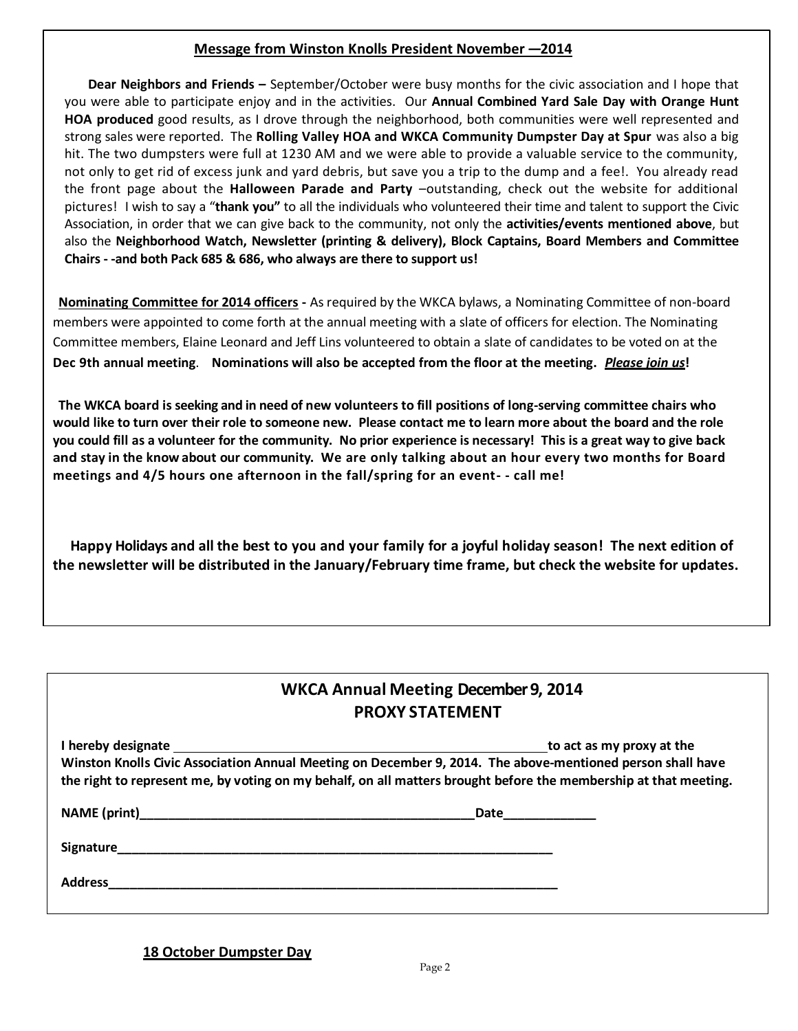#### **Message from Winston Knolls President November –<sup>2014</sup>**

**HOA produced** good results, as I drove through the neighborhood, both communities were well represented and **Dear Neighbors and Friends –** September/October were busy months for the civic association and I hope that you were able to participate enjoy and in the activities. Our **Annual Combined Yard Sale Day with Orange Hunt**  strong sales were reported. The **Rolling Valley HOA and WKCA Community Dumpster Day at Spur** was also a big hit. The two dumpsters were full at 1230 AM and we were able to provide a valuable service to the community, not only to get rid of excess junk and yard debris, but save you a trip to the dump and a fee!. You already read the front page about the **Halloween Parade and Party** –outstanding, check out the website for additional pictures! I wish to say a "**thank you"** to all the individuals who volunteered their time and talent to support the Civic Association, in order that we can give back to the community, not only the **activities/events mentioned above**, but also the **Neighborhood Watch, Newsletter (printing & delivery), Block Captains, Board Members and Committee Chairs - -and both Pack 685 & 686, who always are there to support us!**

**Nominating Committee for 2014 officers -** As required by the WKCA bylaws, a Nominating Committee of non-board members were appointed to come forth at the annual meeting with a slate of officers for election. The Nominating Committee members, Elaine Leonard and Jeff Lins volunteered to obtain a slate of candidates to be voted on at the **Dec 9th annual meeting**. **Nominations will also be accepted from the floor at the meeting.** *Please join us***!**

**The WKCA board is seeking and in need of new volunteers to fill positions of long-serving committee chairs who** would like to turn over their role to someone new. Please contact me to learn more about the board and the role you could fill as a volunteer for the community. No prior experience is necessary! This is a great way to give back **and stay in the know about our community. We are only talking about an hour every two months for Board meetings and 4/5 hours one afternoon in the fall/spring for an event- - call me!**

**Happy Holidays and all the best to you and your family for a joyful holiday season! The next edition of the newsletter will be distributed in the January/February time frame, but check the website for updates.**

## **WKCA Annual Meeting December 9, 2014 PROXY STATEMENT**

| I hereby designate                                                                                               | to act as my proxy at the |
|------------------------------------------------------------------------------------------------------------------|---------------------------|
| Winston Knolls Civic Association Annual Meeting on December 9, 2014. The above-mentioned person shall have       |                           |
| the right to represent me, by voting on my behalf, on all matters brought before the membership at that meeting. |                           |
|                                                                                                                  |                           |

**NAME (print)\_\_\_\_\_\_\_\_\_\_\_\_\_\_\_\_\_\_\_\_\_\_\_\_\_\_\_\_\_\_\_\_\_\_\_\_\_\_\_\_\_\_\_\_\_\_\_Date\_\_\_\_\_\_\_\_\_\_\_\_\_ Signature\_\_\_\_\_\_\_\_\_\_\_\_\_\_\_\_\_\_\_\_\_\_\_\_\_\_\_\_\_\_\_\_\_\_\_\_\_\_\_\_\_\_\_\_\_\_\_\_\_\_\_\_\_\_\_\_\_\_\_\_\_ Address\_\_\_\_\_\_\_\_\_\_\_\_\_\_\_\_\_\_\_\_\_\_\_\_\_\_\_\_\_\_\_\_\_\_\_\_\_\_\_\_\_\_\_\_\_\_\_\_\_\_\_\_\_\_\_\_\_\_\_\_\_\_\_**

**18 October Dumpster Day**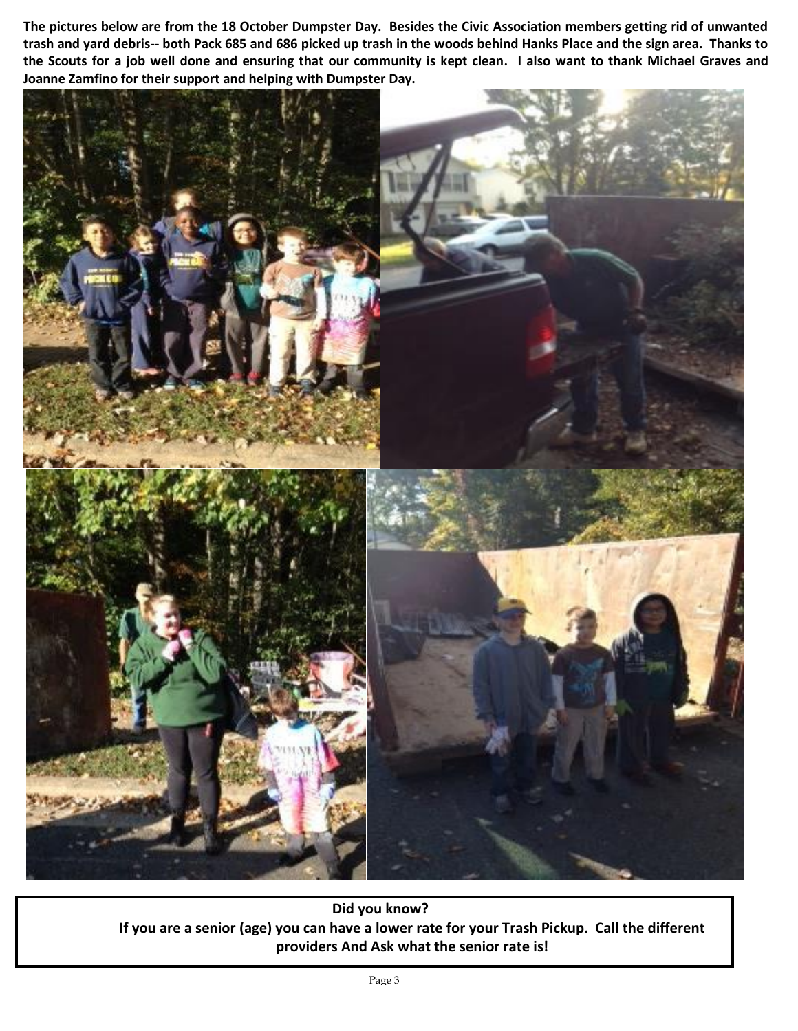**The pictures below are from the 18 October Dumpster Day. Besides the Civic Association members getting rid of unwanted trash and yard debris-- both Pack 685 and 686 picked up trash in the woods behind Hanks Place and the sign area. Thanks to the Scouts for a job well done and ensuring that our community is kept clean. I also want to thank Michael Graves and Joanne Zamfino for their support and helping with Dumpster Day.**



**Did you know? If you are a senior (age) you can have a lower rate for your Trash Pickup. Call the different providers And Ask what the senior rate is!**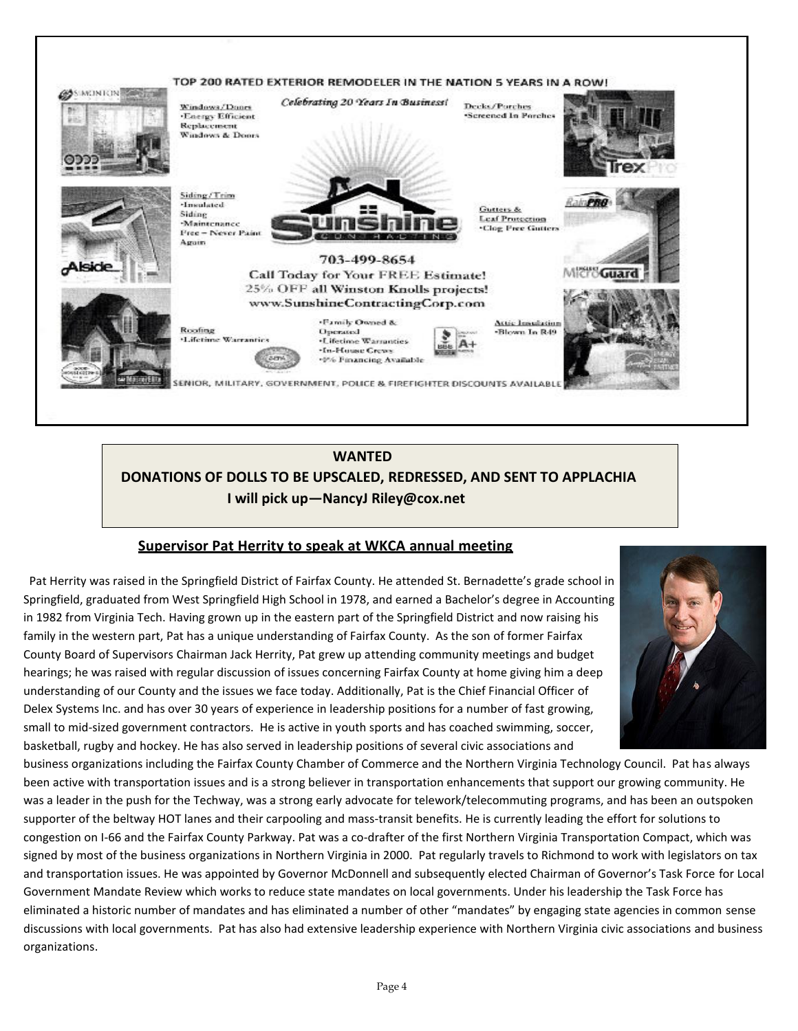

## **WANTED DONATIONS OF DOLLS TO BE UPSCALED, REDRESSED, AND SENT TO APPLACHIA I will pick up—NancyJ Riley@cox.net**

## **Supervisor Pat Herrity to speak at WKCA annual meeting**

 Pat Herrity was raised in the Springfield District of Fairfax County. He attended St. Bernadette's grade school in Springfield, graduated from West Springfield High School in 1978, and earned a Bachelor's degree in Accounting in 1982 from Virginia Tech. Having grown up in the eastern part of the Springfield District and now raising his family in the western part, Pat has a unique understanding of Fairfax County. As the son of former Fairfax County Board of Supervisors Chairman Jack Herrity, Pat grew up attending community meetings and budget hearings; he was raised with regular discussion of issues concerning Fairfax County at home giving him a deep understanding of our County and the issues we face today. Additionally, Pat is the Chief Financial Officer of Delex Systems Inc. and has over 30 years of experience in leadership positions for a number of fast growing, small to mid-sized government contractors. He is active in youth sports and has coached swimming, soccer, basketball, rugby and hockey. He has also served in leadership positions of several civic associations and



business organizations including the Fairfax County Chamber of Commerce and the Northern Virginia Technology Council. Pat has always been active with transportation issues and is a strong believer in transportation enhancements that support our growing community. He was a leader in the push for the Techway, was a strong early advocate for telework/telecommuting programs, and has been an outspoken supporter of the beltway HOT lanes and their carpooling and mass-transit benefits. He is currently leading the effort for solutions to congestion on I-66 and the Fairfax County Parkway. Pat was a co-drafter of the first Northern Virginia Transportation Compact, which was signed by most of the business organizations in Northern Virginia in 2000. Pat regularly travels to Richmond to work with legislators on tax and transportation issues. He was appointed by Governor McDonnell and subsequently elected Chairman of Governor's Task Force for Local Government Mandate Review which works to reduce state mandates on local governments. Under his leadership the Task Force has eliminated a historic number of mandates and has eliminated a number of other "mandates" by engaging state agencies in common sense discussions with local governments. Pat has also had extensive leadership experience with Northern Virginia civic associations and business organizations.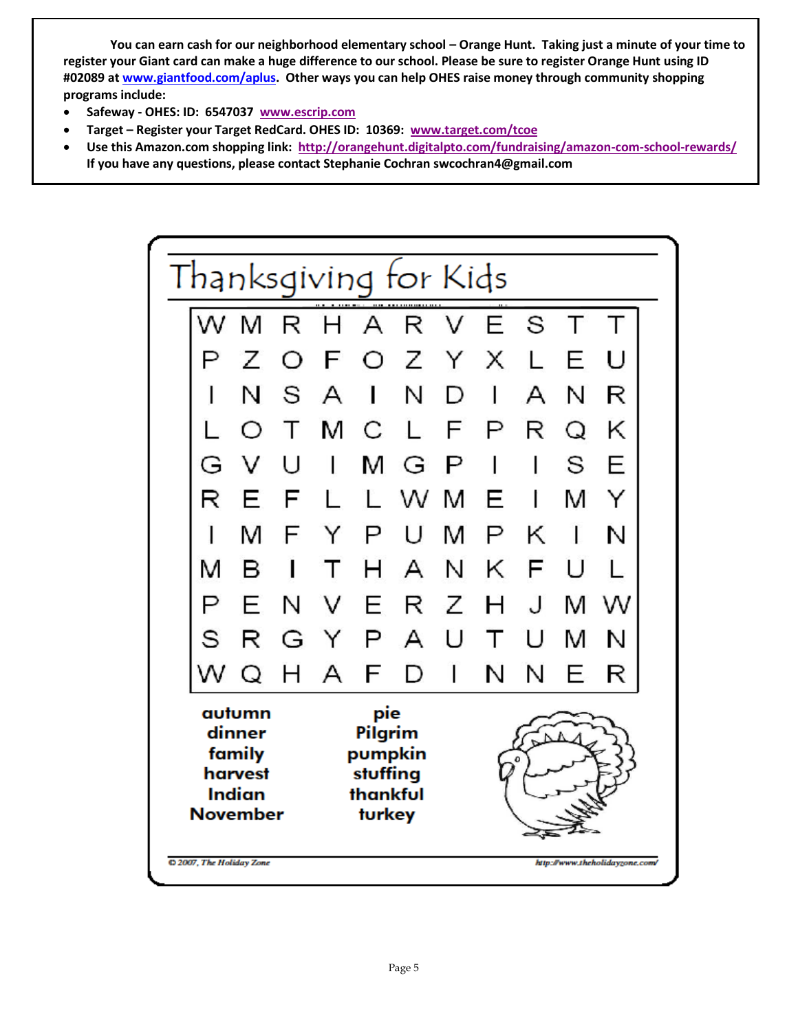**You can earn cash for our neighborhood elementary school – Orange Hunt. Taking just a minute of your time to register your Giant card can make a huge difference to our school. Please be sure to register Orange Hunt using ID #02089 at [www.giantfood.com/aplus.](http://www.giantfood.com/aplus) Other ways you can help OHES raise money through community shopping programs include:**

- **Safeway - OHES: ID: 6547037 [www.escrip.com](http://www.escrip.com/)**
- **Target – Register your Target RedCard. OHES ID: 10369: [www.target.com/tcoe](http://www.target.com/tcoe)**
- **Use this Amazon.com shopping link: <http://orangehunt.digitalpto.com/fundraising/amazon-com-school-rewards/> If you have any questions, please contact Stephanie Cochran swcochran4@gmail.com**

|                                                                           | Thanksgiving for Kids |   |                                                             |   |             |       |   |    |   |    |   |  |
|---------------------------------------------------------------------------|-----------------------|---|-------------------------------------------------------------|---|-------------|-------|---|----|---|----|---|--|
|                                                                           |                       | M | R                                                           | Н | A           | <br>R | V | F. | S | т  |   |  |
|                                                                           |                       | Ζ | ◯                                                           | F | O           | Ζ     | Y | X  |   | E  | U |  |
|                                                                           |                       | N | S                                                           | A | ı           | N     | D | 1  | А | N  | R |  |
|                                                                           |                       | Ω | T                                                           | м | С           | L.    | F | Ρ  | R | Q  | Κ |  |
|                                                                           | G                     | v | U                                                           | I | M           | G     | Р | I  | I | S  | Ε |  |
|                                                                           | R                     | F | F                                                           |   | ľ.          | W     | M | F  | I | M  | Y |  |
|                                                                           |                       | м | F                                                           | Y | P           | U     | M | Р  | Κ | 1  | N |  |
|                                                                           | M                     | в |                                                             | Т | н           | А     | N | Κ  | F | IJ |   |  |
|                                                                           | P                     | F | N                                                           | V | Е           | R     | Ζ | н  | J | M  | w |  |
|                                                                           | S                     | R | G                                                           | Y | Р           | А     | U | Т  | U | м  | N |  |
|                                                                           |                       | Q | Н                                                           | A | F           | D     | I | Ν  | N | F  | R |  |
| autumn<br>dinner<br>family<br>harvest<br><b>Indian</b><br><b>November</b> |                       |   | pie<br>Pilgrim<br>pumpkin<br>stuffing<br>thankful<br>turkey |   | $\mathbf o$ |       |   |    |   |    |   |  |
| to 2007, The Holiday Zone<br>http://www.theholidayzone.com/               |                       |   |                                                             |   |             |       |   |    |   |    |   |  |